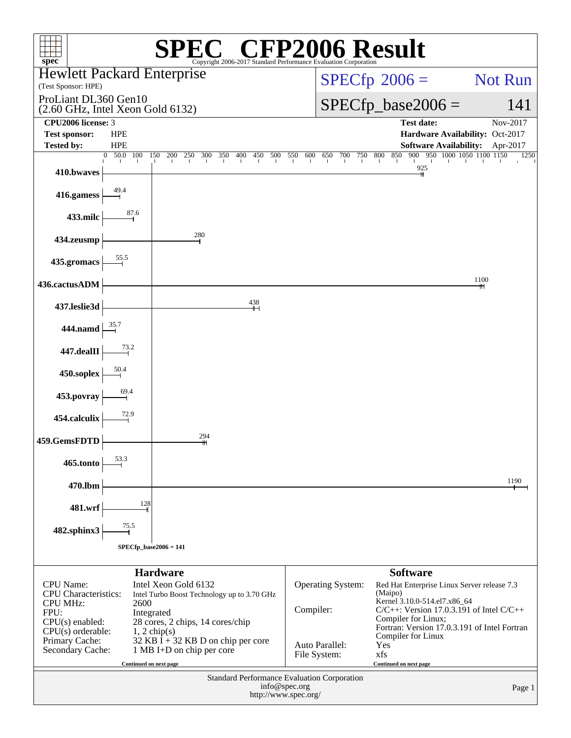| $spec^*$                                                                                                               |                               |                                                                                                                                         | Copyright 2006-2017 Standard Performance Evaluation Corporation |                 |                                       |                                |            | <b>CFP2006 Result</b>                                                                                                                                                                                          |                                                                  |          |
|------------------------------------------------------------------------------------------------------------------------|-------------------------------|-----------------------------------------------------------------------------------------------------------------------------------------|-----------------------------------------------------------------|-----------------|---------------------------------------|--------------------------------|------------|----------------------------------------------------------------------------------------------------------------------------------------------------------------------------------------------------------------|------------------------------------------------------------------|----------|
| <b>Hewlett Packard Enterprise</b><br>(Test Sponsor: HPE)                                                               |                               |                                                                                                                                         |                                                                 |                 |                                       |                                |            | $SPECfp^{\circledast}2006 =$                                                                                                                                                                                   |                                                                  | Not Run  |
| ProLiant DL360 Gen10<br>$(2.60$ GHz, Intel Xeon Gold $6132)$                                                           |                               |                                                                                                                                         |                                                                 |                 |                                       |                                |            | $SPECfp\_base2006 =$                                                                                                                                                                                           |                                                                  | 141      |
| CPU2006 license: 3                                                                                                     |                               |                                                                                                                                         |                                                                 |                 |                                       |                                |            | <b>Test date:</b>                                                                                                                                                                                              |                                                                  | Nov-2017 |
| <b>Test sponsor:</b><br><b>Tested by:</b>                                                                              | <b>HPE</b><br><b>HPE</b>      |                                                                                                                                         |                                                                 |                 |                                       |                                |            |                                                                                                                                                                                                                | Hardware Availability: Oct-2017<br><b>Software Availability:</b> | Apr-2017 |
| 410.bwaves                                                                                                             | $\overline{0}$ 50.0 100       | 150<br>200<br>250<br>300                                                                                                                | 350<br>400                                                      | 450<br>500      | 550<br>600                            | 650                            | 700<br>750 | 850<br>800<br>$\frac{925}{11}$                                                                                                                                                                                 | 900 950 1000 1050 1100 1150                                      | 1250     |
| 416.gamess                                                                                                             |                               |                                                                                                                                         |                                                                 |                 |                                       |                                |            |                                                                                                                                                                                                                |                                                                  |          |
| 433.milc                                                                                                               | $\overset{87.6}{\rightarrow}$ |                                                                                                                                         |                                                                 |                 |                                       |                                |            |                                                                                                                                                                                                                |                                                                  |          |
| 434.zeusmp                                                                                                             |                               | 280                                                                                                                                     |                                                                 |                 |                                       |                                |            |                                                                                                                                                                                                                |                                                                  |          |
| 435.gromacs                                                                                                            | 55.5                          |                                                                                                                                         |                                                                 |                 |                                       |                                |            |                                                                                                                                                                                                                |                                                                  |          |
| 436.cactusADM                                                                                                          |                               |                                                                                                                                         |                                                                 |                 |                                       |                                |            |                                                                                                                                                                                                                | 1100                                                             |          |
| 437.leslie3d                                                                                                           |                               |                                                                                                                                         |                                                                 | $\frac{438}{+}$ |                                       |                                |            |                                                                                                                                                                                                                |                                                                  |          |
| 444.namd                                                                                                               |                               |                                                                                                                                         |                                                                 |                 |                                       |                                |            |                                                                                                                                                                                                                |                                                                  |          |
| 447.dealII                                                                                                             | $\frac{73.2}{2}$              |                                                                                                                                         |                                                                 |                 |                                       |                                |            |                                                                                                                                                                                                                |                                                                  |          |
| 450.soplex                                                                                                             |                               |                                                                                                                                         |                                                                 |                 |                                       |                                |            |                                                                                                                                                                                                                |                                                                  |          |
| 453.povray                                                                                                             | $\overset{69.4}{\rightarrow}$ |                                                                                                                                         |                                                                 |                 |                                       |                                |            |                                                                                                                                                                                                                |                                                                  |          |
| 454.calculix                                                                                                           | $\frac{72.9}{4}$              |                                                                                                                                         |                                                                 |                 |                                       |                                |            |                                                                                                                                                                                                                |                                                                  |          |
| 459.GemsFDTD                                                                                                           |                               | 294                                                                                                                                     |                                                                 |                 |                                       |                                |            |                                                                                                                                                                                                                |                                                                  |          |
| 465.tonto                                                                                                              | 53.3                          |                                                                                                                                         |                                                                 |                 |                                       |                                |            |                                                                                                                                                                                                                |                                                                  |          |
| 470.lbm                                                                                                                |                               |                                                                                                                                         |                                                                 |                 |                                       |                                |            |                                                                                                                                                                                                                |                                                                  | 1190     |
| 481.wrf                                                                                                                | 128                           |                                                                                                                                         |                                                                 |                 |                                       |                                |            |                                                                                                                                                                                                                |                                                                  |          |
| 482.sphinx3                                                                                                            | 75.5                          |                                                                                                                                         |                                                                 |                 |                                       |                                |            |                                                                                                                                                                                                                |                                                                  |          |
|                                                                                                                        | $SPECfp\_base2006 = 141$      |                                                                                                                                         |                                                                 |                 |                                       |                                |            |                                                                                                                                                                                                                |                                                                  |          |
|                                                                                                                        |                               | <b>Hardware</b>                                                                                                                         |                                                                 |                 |                                       |                                |            | <b>Software</b>                                                                                                                                                                                                |                                                                  |          |
| <b>CPU</b> Name:<br><b>CPU</b> Characteristics:<br><b>CPU MHz:</b><br>FPU:<br>$CPU(s)$ enabled:<br>$CPU(s)$ orderable: | 2600                          | Intel Xeon Gold 6132<br>Intel Turbo Boost Technology up to 3.70 GHz<br>Integrated<br>28 cores, 2 chips, 14 cores/chip<br>$1, 2$ chip(s) |                                                                 |                 | Compiler:                             | Operating System:              |            | Red Hat Enterprise Linux Server release 7.3<br>(Maipo)<br>Kernel 3.10.0-514.el7.x86_64<br>$C/C++$ : Version 17.0.3.191 of Intel $C/C++$<br>Compiler for Linux;<br>Fortran: Version 17.0.3.191 of Intel Fortran |                                                                  |          |
| Primary Cache:<br>Secondary Cache:                                                                                     | Continued on next page        | $32$ KB I + 32 KB D on chip per core<br>1 MB I+D on chip per core                                                                       |                                                                 |                 |                                       | Auto Parallel:<br>File System: |            | Compiler for Linux<br>Yes<br>xfs<br>Continued on next page                                                                                                                                                     |                                                                  |          |
|                                                                                                                        |                               |                                                                                                                                         | Standard Performance Evaluation Corporation                     |                 | info@spec.org<br>http://www.spec.org/ |                                |            |                                                                                                                                                                                                                |                                                                  | Page 1   |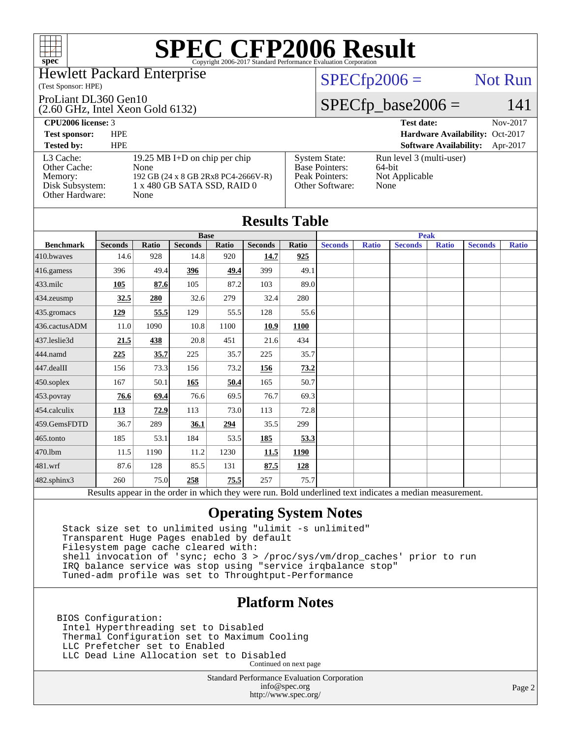

### Hewlett Packard Enterprise

### (Test Sponsor: HPE)

### ProLiant DL360 Gen10

(2.60 GHz, Intel Xeon Gold 6132)

## $SPECfp2006 =$  Not Run

## $SPECfp\_base2006 = 141$

| <b>CPU2006 license: 3</b>                                                  |                                                                                                                     |                                                                                    | <b>Test date:</b><br>Nov-2017                                |
|----------------------------------------------------------------------------|---------------------------------------------------------------------------------------------------------------------|------------------------------------------------------------------------------------|--------------------------------------------------------------|
| <b>Test sponsor:</b>                                                       | <b>HPE</b>                                                                                                          |                                                                                    | Hardware Availability: Oct-2017                              |
| <b>Tested by:</b>                                                          | <b>HPE</b>                                                                                                          |                                                                                    | <b>Software Availability:</b><br>Apr-2017                    |
| L3 Cache:<br>Other Cache:<br>Memory:<br>Disk Subsystem:<br>Other Hardware: | 19.25 MB I+D on chip per chip<br>None<br>192 GB (24 x 8 GB 2Rx8 PC4-2666V-R)<br>1 x 480 GB SATA SSD, RAID 0<br>None | <b>System State:</b><br><b>Base Pointers:</b><br>Peak Pointers:<br>Other Software: | Run level 3 (multi-user)<br>64-bit<br>Not Applicable<br>None |

| <b>Results Table</b> |                |       |                |       |                |             |                |              |                                                                                                          |              |                |              |
|----------------------|----------------|-------|----------------|-------|----------------|-------------|----------------|--------------|----------------------------------------------------------------------------------------------------------|--------------|----------------|--------------|
|                      |                |       | <b>Base</b>    |       |                | <b>Peak</b> |                |              |                                                                                                          |              |                |              |
| <b>Benchmark</b>     | <b>Seconds</b> | Ratio | <b>Seconds</b> | Ratio | <b>Seconds</b> | Ratio       | <b>Seconds</b> | <b>Ratio</b> | <b>Seconds</b>                                                                                           | <b>Ratio</b> | <b>Seconds</b> | <b>Ratio</b> |
| 410.bwayes           | 14.6           | 928   | 14.8           | 920   | 14.7           | 925         |                |              |                                                                                                          |              |                |              |
| 416.gamess           | 396            | 49.4  | 396            | 49.4  | 399            | 49.1        |                |              |                                                                                                          |              |                |              |
| $433$ .milc          | 105            | 87.6  | 105            | 87.2  | 103            | 89.0        |                |              |                                                                                                          |              |                |              |
| $434$ . zeusmp       | 32.5           | 280   | 32.6           | 279   | 32.4           | 280         |                |              |                                                                                                          |              |                |              |
| 435.gromacs          | <u>129</u>     | 55.5  | 129            | 55.5  | 128            | 55.6        |                |              |                                                                                                          |              |                |              |
| 436.cactusADM        | 11.0           | 1090  | 10.8           | 1100  | 10.9           | 1100        |                |              |                                                                                                          |              |                |              |
| 437.leslie3d         | 21.5           | 438   | 20.8           | 451   | 21.6           | 434         |                |              |                                                                                                          |              |                |              |
| 444.namd             | 225            | 35.7  | 225            | 35.7  | 225            | 35.7        |                |              |                                                                                                          |              |                |              |
| 447.dealII           | 156            | 73.3  | 156            | 73.2  | 156            | 73.2        |                |              |                                                                                                          |              |                |              |
| $450$ .soplex        | 167            | 50.1  | 165            | 50.4  | 165            | 50.7        |                |              |                                                                                                          |              |                |              |
| 453.povray           | 76.6           | 69.4  | 76.6           | 69.5  | 76.7           | 69.3        |                |              |                                                                                                          |              |                |              |
| 454.calculix         | <b>113</b>     | 72.9  | 113            | 73.0  | 113            | 72.8        |                |              |                                                                                                          |              |                |              |
| 459.GemsFDTD         | 36.7           | 289   | 36.1           | 294   | 35.5           | 299         |                |              |                                                                                                          |              |                |              |
| $465$ .tonto         | 185            | 53.1  | 184            | 53.5  | 185            | 53.3        |                |              |                                                                                                          |              |                |              |
| 470.1bm              | 11.5           | 1190  | 11.2           | 1230  | 11.5           | 1190        |                |              |                                                                                                          |              |                |              |
| 481.wrf              | 87.6           | 128   | 85.5           | 131   | 87.5           | <u>128</u>  |                |              |                                                                                                          |              |                |              |
| 482.sphinx3          | 260            | 75.0  | 258            | 75.5  | 257            | 75.7        |                |              |                                                                                                          |              |                |              |
|                      |                |       |                |       |                |             |                |              | Results appear in the order in which they were run. Bold underlined text indicates a median measurement. |              |                |              |

## **[Operating System Notes](http://www.spec.org/auto/cpu2006/Docs/result-fields.html#OperatingSystemNotes)**

 Stack size set to unlimited using "ulimit -s unlimited" Transparent Huge Pages enabled by default Filesystem page cache cleared with: shell invocation of 'sync; echo 3 > /proc/sys/vm/drop\_caches' prior to run IRQ balance service was stop using "service irqbalance stop" Tuned-adm profile was set to Throughtput-Performance

## **[Platform Notes](http://www.spec.org/auto/cpu2006/Docs/result-fields.html#PlatformNotes)**

BIOS Configuration: Intel Hyperthreading set to Disabled Thermal Configuration set to Maximum Cooling LLC Prefetcher set to Enabled LLC Dead Line Allocation set to Disabled Continued on next page

> Standard Performance Evaluation Corporation [info@spec.org](mailto:info@spec.org) <http://www.spec.org/>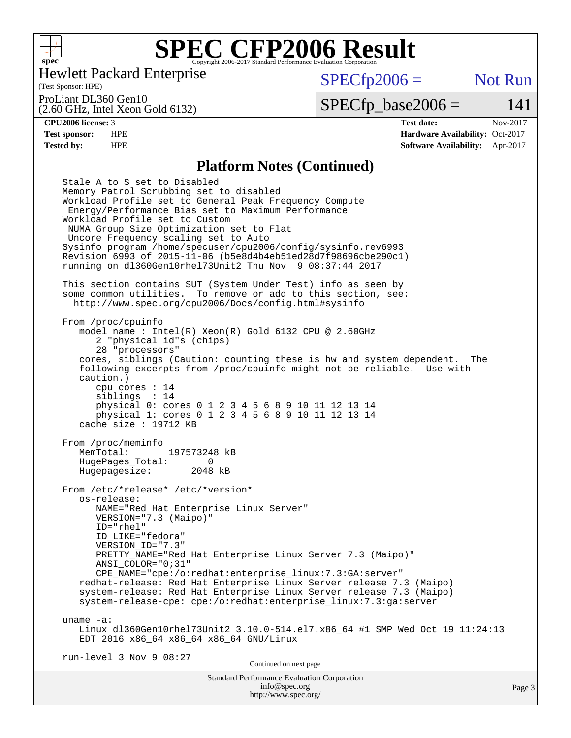

Hewlett Packard Enterprise

(Test Sponsor: HPE)

 $SPECfp2006 =$  Not Run

ProLiant DL360 Gen10

(2.60 GHz, Intel Xeon Gold 6132)

 $SPECTp\_base2006 = 141$ 

**[CPU2006 license:](http://www.spec.org/auto/cpu2006/Docs/result-fields.html#CPU2006license)** 3 **[Test date:](http://www.spec.org/auto/cpu2006/Docs/result-fields.html#Testdate)** Nov-2017 **[Test sponsor:](http://www.spec.org/auto/cpu2006/Docs/result-fields.html#Testsponsor)** HPE **[Hardware Availability:](http://www.spec.org/auto/cpu2006/Docs/result-fields.html#HardwareAvailability)** Oct-2017 **[Tested by:](http://www.spec.org/auto/cpu2006/Docs/result-fields.html#Testedby)** HPE **[Software Availability:](http://www.spec.org/auto/cpu2006/Docs/result-fields.html#SoftwareAvailability)** Apr-2017

### **[Platform Notes \(Continued\)](http://www.spec.org/auto/cpu2006/Docs/result-fields.html#PlatformNotes)**

Standard Performance Evaluation Corporation Stale A to S set to Disabled Memory Patrol Scrubbing set to disabled Workload Profile set to General Peak Frequency Compute Energy/Performance Bias set to Maximum Performance Workload Profile set to Custom NUMA Group Size Optimization set to Flat Uncore Frequency scaling set to Auto Sysinfo program /home/specuser/cpu2006/config/sysinfo.rev6993 Revision 6993 of 2015-11-06 (b5e8d4b4eb51ed28d7f98696cbe290c1) running on dl360Gen10rhel73Unit2 Thu Nov 9 08:37:44 2017 This section contains SUT (System Under Test) info as seen by some common utilities. To remove or add to this section, see: <http://www.spec.org/cpu2006/Docs/config.html#sysinfo> From /proc/cpuinfo model name : Intel(R) Xeon(R) Gold 6132 CPU @ 2.60GHz 2 "physical id"s (chips) 28 "processors" cores, siblings (Caution: counting these is hw and system dependent. The following excerpts from /proc/cpuinfo might not be reliable. Use with caution.) cpu cores : 14 siblings : 14 physical 0: cores 0 1 2 3 4 5 6 8 9 10 11 12 13 14 physical 1: cores 0 1 2 3 4 5 6 8 9 10 11 12 13 14 cache size : 19712 KB From /proc/meminfo MemTotal: 197573248 kB HugePages\_Total: 0<br>Hugepagesize: 2048 kB Hugepagesize: From /etc/\*release\* /etc/\*version\* os-release: NAME="Red Hat Enterprise Linux Server" VERSION="7.3 (Maipo)" ID="rhel" ID\_LIKE="fedora" VERSION\_ID="7.3" PRETTY\_NAME="Red Hat Enterprise Linux Server 7.3 (Maipo)" ANSI\_COLOR="0;31" CPE\_NAME="cpe:/o:redhat:enterprise\_linux:7.3:GA:server" redhat-release: Red Hat Enterprise Linux Server release 7.3 (Maipo) system-release: Red Hat Enterprise Linux Server release 7.3 (Maipo) system-release-cpe: cpe:/o:redhat:enterprise\_linux:7.3:ga:server uname -a: Linux dl360Gen10rhel73Unit2 3.10.0-514.el7.x86\_64 #1 SMP Wed Oct 19 11:24:13 EDT 2016 x86\_64 x86\_64 x86\_64 GNU/Linux run-level 3 Nov 9 08:27 Continued on next page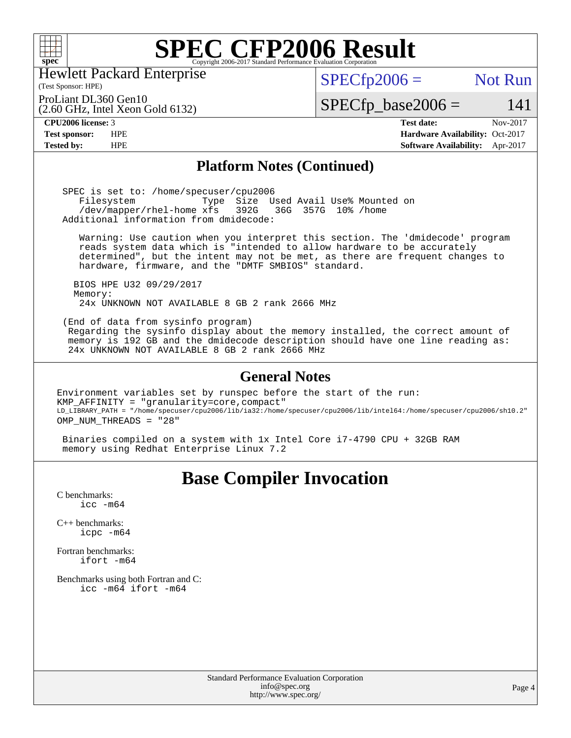

Hewlett Packard Enterprise

### $SPECfp2006 =$  Not Run

ProLiant DL360 Gen10

(2.60 GHz, Intel Xeon Gold 6132)

 $SPECTp\_base2006 = 141$ 

(Test Sponsor: HPE)

**[CPU2006 license:](http://www.spec.org/auto/cpu2006/Docs/result-fields.html#CPU2006license)** 3 **[Test date:](http://www.spec.org/auto/cpu2006/Docs/result-fields.html#Testdate)** Nov-2017 **[Test sponsor:](http://www.spec.org/auto/cpu2006/Docs/result-fields.html#Testsponsor)** HPE **[Hardware Availability:](http://www.spec.org/auto/cpu2006/Docs/result-fields.html#HardwareAvailability)** Oct-2017 **[Tested by:](http://www.spec.org/auto/cpu2006/Docs/result-fields.html#Testedby)** HPE **[Software Availability:](http://www.spec.org/auto/cpu2006/Docs/result-fields.html#SoftwareAvailability)** Apr-2017

### **[Platform Notes \(Continued\)](http://www.spec.org/auto/cpu2006/Docs/result-fields.html#PlatformNotes)**

 SPEC is set to: /home/specuser/cpu2006 Filesystem Type Size Used Avail Use% Mounted on<br>/dev/mapper/rhel-home xfs 392G 36G 357G 10% /home /dev/mapper/rhel-home xfs 392G Additional information from dmidecode:

 Warning: Use caution when you interpret this section. The 'dmidecode' program reads system data which is "intended to allow hardware to be accurately determined", but the intent may not be met, as there are frequent changes to hardware, firmware, and the "DMTF SMBIOS" standard.

 BIOS HPE U32 09/29/2017 Memory: 24x UNKNOWN NOT AVAILABLE 8 GB 2 rank 2666 MHz

 (End of data from sysinfo program) Regarding the sysinfo display about the memory installed, the correct amount of memory is 192 GB and the dmidecode description should have one line reading as: 24x UNKNOWN NOT AVAILABLE 8 GB 2 rank 2666 MHz

### **[General Notes](http://www.spec.org/auto/cpu2006/Docs/result-fields.html#GeneralNotes)**

Environment variables set by runspec before the start of the run: KMP\_AFFINITY = "granularity=core,compact" LD\_LIBRARY\_PATH = "/home/specuser/cpu2006/lib/ia32:/home/specuser/cpu2006/lib/intel64:/home/specuser/cpu2006/sh10.2" OMP NUM THREADS = "28"

 Binaries compiled on a system with 1x Intel Core i7-4790 CPU + 32GB RAM memory using Redhat Enterprise Linux 7.2

## **[Base Compiler Invocation](http://www.spec.org/auto/cpu2006/Docs/result-fields.html#BaseCompilerInvocation)**

[C benchmarks](http://www.spec.org/auto/cpu2006/Docs/result-fields.html#Cbenchmarks):  $\text{icc}$   $-\text{m64}$ 

[C++ benchmarks:](http://www.spec.org/auto/cpu2006/Docs/result-fields.html#CXXbenchmarks) [icpc -m64](http://www.spec.org/cpu2006/results/res2017q4/cpu2006-20171114-50676.flags.html#user_CXXbase_intel_icpc_64bit_fc66a5337ce925472a5c54ad6a0de310)

[Fortran benchmarks](http://www.spec.org/auto/cpu2006/Docs/result-fields.html#Fortranbenchmarks): [ifort -m64](http://www.spec.org/cpu2006/results/res2017q4/cpu2006-20171114-50676.flags.html#user_FCbase_intel_ifort_64bit_ee9d0fb25645d0210d97eb0527dcc06e)

[Benchmarks using both Fortran and C](http://www.spec.org/auto/cpu2006/Docs/result-fields.html#BenchmarksusingbothFortranandC): [icc -m64](http://www.spec.org/cpu2006/results/res2017q4/cpu2006-20171114-50676.flags.html#user_CC_FCbase_intel_icc_64bit_bda6cc9af1fdbb0edc3795bac97ada53) [ifort -m64](http://www.spec.org/cpu2006/results/res2017q4/cpu2006-20171114-50676.flags.html#user_CC_FCbase_intel_ifort_64bit_ee9d0fb25645d0210d97eb0527dcc06e)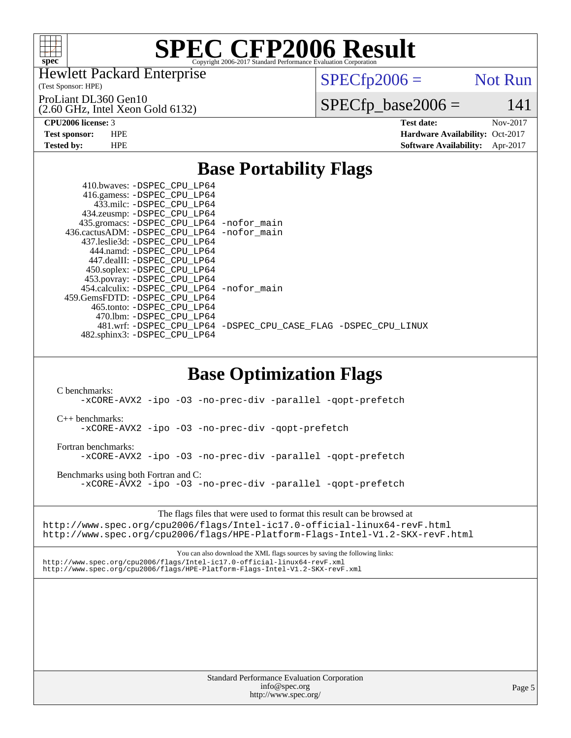

Hewlett Packard Enterprise

(Test Sponsor: HPE)

ProLiant DL360 Gen10

(2.60 GHz, Intel Xeon Gold 6132)

 $SPECTp2006 =$  Not Run

 $SPECfp\_base2006 = 141$ 

**[CPU2006 license:](http://www.spec.org/auto/cpu2006/Docs/result-fields.html#CPU2006license)** 3 **[Test date:](http://www.spec.org/auto/cpu2006/Docs/result-fields.html#Testdate)** Nov-2017 **[Test sponsor:](http://www.spec.org/auto/cpu2006/Docs/result-fields.html#Testsponsor)** HPE **[Hardware Availability:](http://www.spec.org/auto/cpu2006/Docs/result-fields.html#HardwareAvailability)** Oct-2017 **[Tested by:](http://www.spec.org/auto/cpu2006/Docs/result-fields.html#Testedby)** HPE **[Software Availability:](http://www.spec.org/auto/cpu2006/Docs/result-fields.html#SoftwareAvailability)** Apr-2017

# **[Base Portability Flags](http://www.spec.org/auto/cpu2006/Docs/result-fields.html#BasePortabilityFlags)**

| 410.bwaves: -DSPEC CPU LP64<br>416.gamess: -DSPEC_CPU_LP64     |
|----------------------------------------------------------------|
| 433.milc: -DSPEC CPU LP64<br>434.zeusmp: -DSPEC_CPU_LP64       |
| 435.gromacs: -DSPEC_CPU_LP64 -nofor_main                       |
| 436.cactusADM: -DSPEC_CPU_LP64 -nofor main                     |
| 437.leslie3d: -DSPEC CPU LP64                                  |
| 444.namd: -DSPEC CPU LP64                                      |
| 447.dealII: -DSPEC CPU LP64                                    |
| 450.soplex: -DSPEC CPU LP64                                    |
| 453.povray: -DSPEC_CPU_LP64                                    |
| 454.calculix: - DSPEC CPU LP64 - nofor main                    |
| 459. GemsFDTD: - DSPEC CPU LP64                                |
| 465.tonto: - DSPEC_CPU LP64                                    |
| 470.1bm: - DSPEC CPU LP64                                      |
| 481.wrf: -DSPEC CPU_LP64 -DSPEC_CPU_CASE_FLAG -DSPEC_CPU_LINUX |
| 482.sphinx3: -DSPEC_CPU_LP64                                   |
|                                                                |

# **[Base Optimization Flags](http://www.spec.org/auto/cpu2006/Docs/result-fields.html#BaseOptimizationFlags)**

[C benchmarks](http://www.spec.org/auto/cpu2006/Docs/result-fields.html#Cbenchmarks):

[-xCORE-AVX2](http://www.spec.org/cpu2006/results/res2017q4/cpu2006-20171114-50676.flags.html#user_CCbase_f-xCORE-AVX2) [-ipo](http://www.spec.org/cpu2006/results/res2017q4/cpu2006-20171114-50676.flags.html#user_CCbase_f-ipo) [-O3](http://www.spec.org/cpu2006/results/res2017q4/cpu2006-20171114-50676.flags.html#user_CCbase_f-O3) [-no-prec-div](http://www.spec.org/cpu2006/results/res2017q4/cpu2006-20171114-50676.flags.html#user_CCbase_f-no-prec-div) [-parallel](http://www.spec.org/cpu2006/results/res2017q4/cpu2006-20171114-50676.flags.html#user_CCbase_f-parallel) [-qopt-prefetch](http://www.spec.org/cpu2006/results/res2017q4/cpu2006-20171114-50676.flags.html#user_CCbase_f-qopt-prefetch)

[C++ benchmarks:](http://www.spec.org/auto/cpu2006/Docs/result-fields.html#CXXbenchmarks)

[-xCORE-AVX2](http://www.spec.org/cpu2006/results/res2017q4/cpu2006-20171114-50676.flags.html#user_CXXbase_f-xCORE-AVX2) [-ipo](http://www.spec.org/cpu2006/results/res2017q4/cpu2006-20171114-50676.flags.html#user_CXXbase_f-ipo) [-O3](http://www.spec.org/cpu2006/results/res2017q4/cpu2006-20171114-50676.flags.html#user_CXXbase_f-O3) [-no-prec-div](http://www.spec.org/cpu2006/results/res2017q4/cpu2006-20171114-50676.flags.html#user_CXXbase_f-no-prec-div) [-qopt-prefetch](http://www.spec.org/cpu2006/results/res2017q4/cpu2006-20171114-50676.flags.html#user_CXXbase_f-qopt-prefetch)

[Fortran benchmarks](http://www.spec.org/auto/cpu2006/Docs/result-fields.html#Fortranbenchmarks): [-xCORE-AVX2](http://www.spec.org/cpu2006/results/res2017q4/cpu2006-20171114-50676.flags.html#user_FCbase_f-xCORE-AVX2) [-ipo](http://www.spec.org/cpu2006/results/res2017q4/cpu2006-20171114-50676.flags.html#user_FCbase_f-ipo) [-O3](http://www.spec.org/cpu2006/results/res2017q4/cpu2006-20171114-50676.flags.html#user_FCbase_f-O3) [-no-prec-div](http://www.spec.org/cpu2006/results/res2017q4/cpu2006-20171114-50676.flags.html#user_FCbase_f-no-prec-div) [-parallel](http://www.spec.org/cpu2006/results/res2017q4/cpu2006-20171114-50676.flags.html#user_FCbase_f-parallel) [-qopt-prefetch](http://www.spec.org/cpu2006/results/res2017q4/cpu2006-20171114-50676.flags.html#user_FCbase_f-qopt-prefetch)

[Benchmarks using both Fortran and C](http://www.spec.org/auto/cpu2006/Docs/result-fields.html#BenchmarksusingbothFortranandC): [-xCORE-AVX2](http://www.spec.org/cpu2006/results/res2017q4/cpu2006-20171114-50676.flags.html#user_CC_FCbase_f-xCORE-AVX2) [-ipo](http://www.spec.org/cpu2006/results/res2017q4/cpu2006-20171114-50676.flags.html#user_CC_FCbase_f-ipo) [-O3](http://www.spec.org/cpu2006/results/res2017q4/cpu2006-20171114-50676.flags.html#user_CC_FCbase_f-O3) [-no-prec-div](http://www.spec.org/cpu2006/results/res2017q4/cpu2006-20171114-50676.flags.html#user_CC_FCbase_f-no-prec-div) [-parallel](http://www.spec.org/cpu2006/results/res2017q4/cpu2006-20171114-50676.flags.html#user_CC_FCbase_f-parallel) [-qopt-prefetch](http://www.spec.org/cpu2006/results/res2017q4/cpu2006-20171114-50676.flags.html#user_CC_FCbase_f-qopt-prefetch)

The flags files that were used to format this result can be browsed at <http://www.spec.org/cpu2006/flags/Intel-ic17.0-official-linux64-revF.html> <http://www.spec.org/cpu2006/flags/HPE-Platform-Flags-Intel-V1.2-SKX-revF.html>

You can also download the XML flags sources by saving the following links: <http://www.spec.org/cpu2006/flags/Intel-ic17.0-official-linux64-revF.xml> <http://www.spec.org/cpu2006/flags/HPE-Platform-Flags-Intel-V1.2-SKX-revF.xml>

> Standard Performance Evaluation Corporation [info@spec.org](mailto:info@spec.org) <http://www.spec.org/>